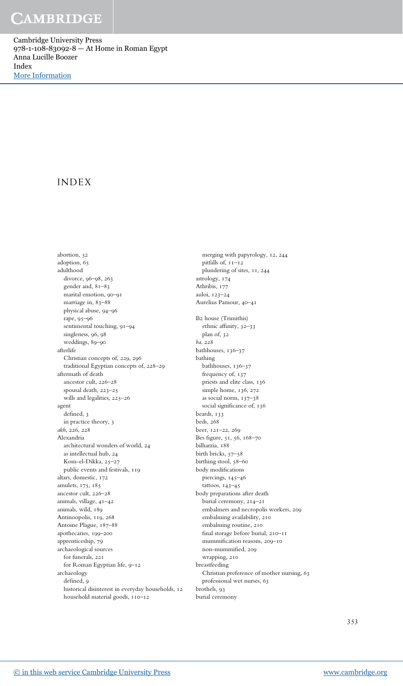Cambridge University Press 978-1-108-83092-8 — At Home in Roman Egypt Anna Lucille Boozer Index [More Information](www.cambridge.org/9781108830928)

### INDEX

abortion, 52 adoption, 65 adulthood divorce, 96–98, 263 gender and, 81–83 marital emotion, 90–91 marriage in, 83–88 physical abuse, 94–96 rape, 95–96 sentimental touching, 91–94 singleness, 96, 98 weddings, 89–90 afterlife Christian concepts of, 229, 296 traditional Egyptian concepts of, 228–29 aftermath of death ancestor cult, 226–28 spousal death, 223–25 wills and legalities, 225–26 agent defined, 3 in practice theory, 3 akh, 226, 228 Alexandria architectural wonders of world, 24 as intellectual hub, 24 Kom-el-Dikka, 25–27 public events and festivals, 119 altars, domestic, 172 amulets, 175, 185 ancestor cult, 226–28 animals, village, 41–42 animals, wild, 189 Antinoopolis, 119, 268 Antoine Plague, 187–88 apothecaries, 199–200 apprenticeship, 79 archaeological sources for funerals, 221 for Roman Egyptian life, 9–12 archaeology defined, 9 historical disinterest in everyday households, 12 household material goods, 110–12

merging with papyrology, 12, 244 pitfalls of, 11–12 plundering of sites, 11, 244 astrology, 174 Athribis, 177 auloi, 123–24 Aurelius Pamour, 40–41 B2 house (Trimithis) ethnic affinity, 32–33 plan of, 32 ba, 228 bathhouses, 136–37 bathing bathhouses, 136–37 frequency of, 137 priests and elite class, 136 simple home, 136, 272 as social norm, 137–38 social significance of, 136 beards, 133 beds, 268 beer, 121–22, 269 Bes figure, 51, 56, 168–70 bilharzia, 188 birth bricks, 57–58 birthing stool, 58–60 body modifications piercings, 145–46 tattoos, 143–45 body preparations after death burial ceremony, 214–21 embalmers and necropolis workers, 209 embalming availability, 210 embalming routine, 210 final storage before burial, 210–11 mummification reasons, 209–10 non-mummified, 209 wrapping, 210 breastfeeding Christian preference of mother nursing, 63 professional wet nurses, 63 brothels, 93 burial ceremony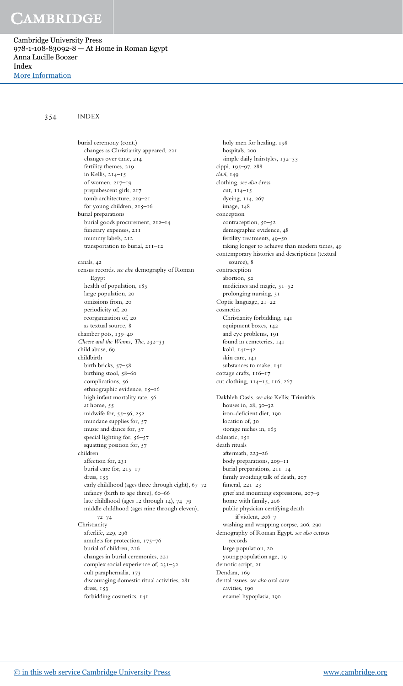Cambridge University Press 978-1-108-83092-8 — At Home in Roman Egypt Anna Lucille Boozer Index [More Information](www.cambridge.org/9781108830928)

### 354 INDEX

burial ceremony (cont.) changes as Christianity appeared, 221 changes over time, 214 fertility themes, 219 in Kellis, 214–15 of women, 217–19 prepubescent girls, 217 tomb architecture, 219–21 for young children, 215–16 burial preparations burial goods procurement, 212–14 funerary expenses, 211 mummy labels, 212 transportation to burial, 211–12 canals, 42 census records. see also demography of Roman Egypt health of population, 185 large population, 20 omissions from, 20 periodicity of, 20 reorganization of, 20 as textual source, 8 chamber pots, 139–40 Cheese and the Worms, The, 232–33 child abuse, 69 childbirth birth bricks, 57–58 birthing stool, 58–60 complications, 56 ethnographic evidence, 15–16 high infant mortality rate, 56 at home, 55 midwife for, 55–56, 252 mundane supplies for, 57 music and dance for, 57 special lighting for,  $56-57$ squatting position for, 57 children affection for, 231 burial care for, 215–17 dress, 153 early childhood (ages three through eight), 67–72 infancy (birth to age three), 60–66 late childhood (ages 12 through 14), 74–79 middle childhood (ages nine through eleven), 72–74 Christianity afterlife, 229, 296 amulets for protection, 175–76 burial of children, 216 changes in burial ceremonies, 221 complex social experience of, 231–32 cult paraphernalia, 173 discouraging domestic ritual activities, 281 dress, 153 forbidding cosmetics, 141

holy men for healing, 198 hospitals, 200 simple daily hairstyles, 132-33 cippi, 195–97, 288 clavi, 149 clothing. see also dress cut, 114–15 dyeing, 114, 267 image, 148 conception contraception, 50–52 demographic evidence, 48 fertility treatments, 49–50 taking longer to achieve than modern times, 49 contemporary histories and descriptions (textual source), 8 contraception abortion, 52 medicines and magic, 51–52 prolonging nursing, 51 Coptic language, 21–22 cosmetics Christianity forbidding, 141 equipment boxes, 142 and eye problems, 191 found in cemeteries, 141 kohl, 141–42 skin care, 141 substances to make, 141 cottage crafts, 116–17 cut clothing, 114–15, 116, 267 Dakhleh Oasis. see also Kellis; Trimithis houses in, 28, 30–32 iron-deficient diet, 190 location of, 30 storage niches in, 163 dalmatic, 151 death rituals aftermath, 223–26 body preparations, 209–11 burial preparations, 211–14 family avoiding talk of death, 207 funeral, 221–23 grief and mourning expressions, 207–9 home with family, 206 public physician certifying death if violent, 206–7 washing and wrapping corpse, 206, 290 demography of Roman Egypt. see also census records large population, 20 young population age, 19 demotic script, 21 Dendara, 169 dental issues. see also oral care cavities, 190 enamel hypoplasia, 190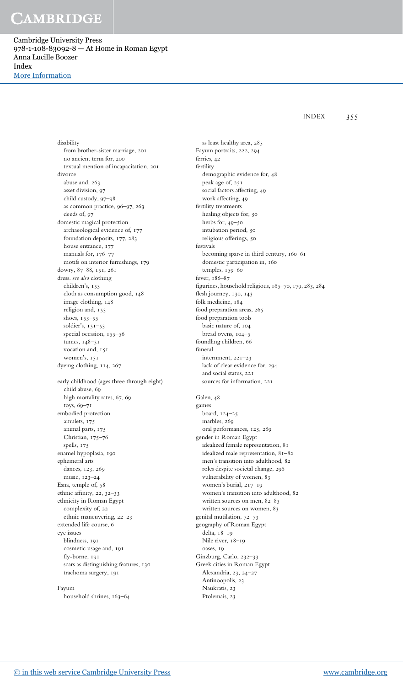Cambridge University Press 978-1-108-83092-8 — At Home in Roman Egypt Anna Lucille Boozer Index [More Information](www.cambridge.org/9781108830928)

INDEX 355

disability from brother-sister marriage, 201 no ancient term for, 200 textual mention of incapacitation, 201 divorce abuse and, 263 asset division, 97 child custody, 97–98 as common practice, 96–97, 263 deeds of, 97 domestic magical protection archaeological evidence of, 177 foundation deposits, 177, 283 house entrance, 177 manuals for, 176–77 motifs on interior furnishings, 179 dowry, 87–88, 151, 261 dress. see also clothing children's, 153 cloth as consumption good, 148 image clothing, 148 religion and, 153 shoes, 153–55 soldier's, 151–53 special occasion, 155–56 tunics, 148–51 vocation and, 151 women's, 151 dyeing clothing, 114, 267 early childhood (ages three through eight) child abuse, 69 high mortality rates, 67, 69 toys, 69–71 embodied protection amulets, 175 animal parts, 175 Christian, 175–76 spells, 175 enamel hypoplasia, 190 ephemeral arts dances, 123, 269 music, 123–24 Esna, temple of, 58 ethnic affinity, 22, 32–33 ethnicity in Roman Egypt complexity of, 22 ethnic maneuvering, 22–23 extended life course, 6 eye issues blindness, 191 cosmetic usage and, 191 fly-borne, 191 scars as distinguishing features, 130 trachoma surgery, 191

Fayum household shrines, 163–64

as least healthy area, 285 Fayum portraits, 222, 294 ferries, 42 fertility demographic evidence for, 48 peak age of, 251 social factors affecting, 49 work affecting, 49 fertility treatments healing objects for, 50 herbs for, 49–50 intubation period, 50 religious offerings, 50 festivals becoming sparse in third century, 160–61 domestic participation in, 160 temples, 159–60 fever, 186–87 figurines, household religious, 165–70, 179, 283, 284 flesh journey, 130, 143 folk medicine, 184 food preparation areas, 265 food preparation tools basic nature of, 104 bread ovens, 104–5 foundling children, 66 funeral internment, 221–23 lack of clear evidence for, 294 and social status, 221 sources for information, 221 Galen, 48 games board, 124–25 marbles, 269 oral performances, 125, 269 gender in Roman Egypt idealized female representation, 81 idealized male representation, 81–82 men's transition into adulthood, 82 roles despite societal change, 296 vulnerability of women, 83

women's burial, 217–19 women's transition into adulthood, 82 written sources on men, 82–83 written sources on women, 83 genital mutilation, 72–73 geography of Roman Egypt delta, 18–19 Nile river, 18–19 oases, 19 Ginzburg, Carlo, 232–33 Greek cities in Roman Egypt Alexandria, 23, 24–27 Antinoopolis, 23

Naukratis, 23 Ptolemais, 23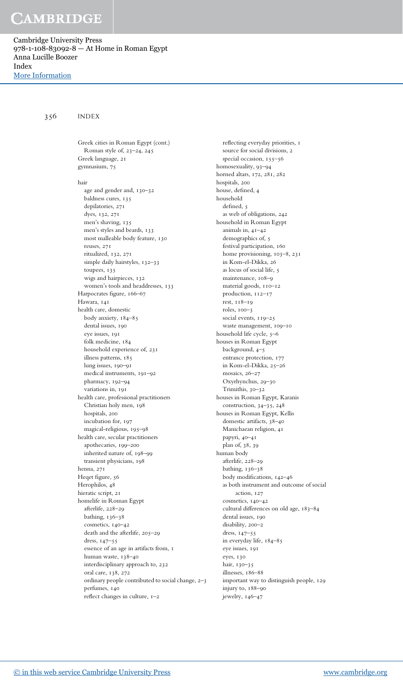Cambridge University Press 978-1-108-83092-8 — At Home in Roman Egypt Anna Lucille Boozer Index [More Information](www.cambridge.org/9781108830928)

356 INDEX

Greek cities in Roman Egypt (cont.) Roman style of, 23–24, 245 Greek language, 21 gymnasium, 75 hair age and gender and, 130–32 baldness cures, 135 depilatories, 271 dyes, 132, 271 men's shaving, 135 men's styles and beards, 133 most malleable body feature, 130 reuses, 271 ritualized, 132, 271 simple daily hairstyles, 132-33 toupees, 135 wigs and hairpieces, 132 women's tools and headdresses, 133 Harpocrates figure, 166–67 Hawara, 141 health care, domestic body anxiety, 184–85 dental issues, 190 eye issues, 191 folk medicine, 184 household experience of, 231 illness patterns, 185 lung issues, 190–91 medical instruments, 191–92 pharmacy, 192–94 variations in, 191 health care, professional practitioners Christian holy men, 198 hospitals, 200 incubation for, 197 magical-religious, 195–98 health care, secular practitioners apothecaries, 199–200 inherited nature of, 198–99 transient physicians, 198 henna, 271 Heqet figure, 56 Herophilos, 48 hieratic script, 21 homelife in Roman Egypt afterlife, 228–29 bathing, 136–38 cosmetics, 140–42 death and the afterlife, 205–29 dress, 147–55 essence of an age in artifacts from, 1 human waste, 138–40 interdisciplinary approach to, 232 oral care, 138, 272 ordinary people contributed to social change, 2–3 perfumes, 140 reflect changes in culture, 1–2

reflecting everyday priorities, 1 source for social divisions, 2 special occasion, 155–56 homosexuality, 93–94 horned altars, 172, 281, 282 hospitals, 200 house, defined, 4 household defined, 5 as web of obligations, 242 household in Roman Egypt animals in, 41–42 demographics of, 5 festival participation, 160 home provisioning, 103–8, 231 in Kom-el-Dikka, 26 as locus of social life, 5 maintenance, 108–9 material goods, 110–12 production, 112–17 rest, 118–19 roles, 100–3 social events, 119–25 waste management, 109–10 household life cycle, 5-6 houses in Roman Egypt background, 4–5 entrance protection, 177 in Kom-el-Dikka, 25–26 mosaics, 26–27 Oxyrhynchus, 29–30 Trimithis, 30–32 houses in Roman Egypt, Karanis construction, 34–35, 248 houses in Roman Egypt, Kellis domestic artifacts, 38–40 Manichaean religion, 41 papyri, 40–41 plan of, 38, 39 human body afterlife, 228–29 bathing, 136–38 body modifications, 142–46 as both instrument and outcome of social action, 127 cosmetics, 140–42 cultural differences on old age, 183–84 dental issues, 190 disability, 200–2 dress, 147–55 in everyday life, 184–85 eye issues, 191 eyes, 130 hair, 130–35 illnesses, 186–88 important way to distinguish people, 129 injury to, 188–90 jewelry, 146–47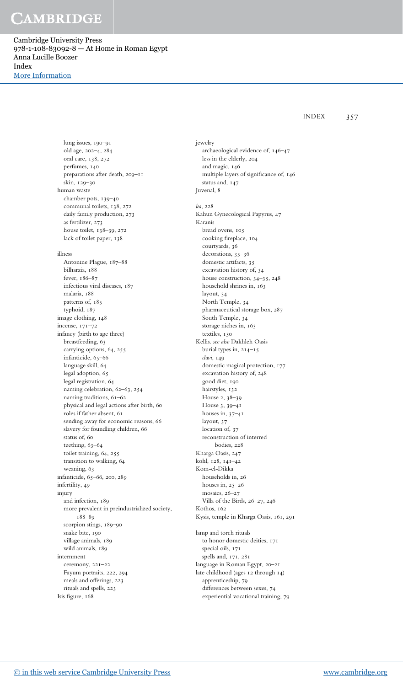Cambridge University Press 978-1-108-83092-8 — At Home in Roman Egypt Anna Lucille Boozer Index [More Information](www.cambridge.org/9781108830928)

INDEX 357

lung issues, 190–91 old age, 202–4, 284 oral care, 138, 272 perfumes, 140 preparations after death, 209–11 skin, 129–30 human waste chamber pots, 139–40 communal toilets, 138, 272 daily family production, 273 as fertilizer, 273 house toilet, 138–39, 272 lack of toilet paper, 138 illness Antonine Plague, 187–88 bilharzia, 188 fever, 186–87 infectious viral diseases, 187 malaria, 188 patterns of, 185 typhoid, 187 image clothing, 148 incense, 171–72 infancy (birth to age three) breastfeeding, 63 carrying options, 64, 255 infanticide, 65–66 language skill, 64 legal adoption, 65 legal registration, 64 naming celebration, 62–63, 254 naming traditions, 61–62 physical and legal actions after birth, 60 roles if father absent, 61 sending away for economic reasons, 66 slavery for foundling children, 66 status of, 60 teething, 63–64 toilet training, 64, 255 transition to walking, 64 weaning, 63 infanticide, 65–66, 200, 289 infertility, 49 injury and infection, 189 more prevalent in preindustrialized society, 188–89 scorpion stings, 189–90 snake bite, 190 village animals, 189 wild animals, 189 internment ceremony, 221–22 Fayum portraits, 222, 294 meals and offerings, 223 rituals and spells, 223 Isis figure, 168

jewelry archaeological evidence of, 146–47 less in the elderly, 204 and magic, 146 multiple layers of significance of, 146 status and, 147 Juvenal, 8 ka, 228 Kahun Gynecological Papyrus, 47 Karanis bread ovens, 105 cooking fireplace, 104 courtyards, 36 decorations, 35–36 domestic artifacts, 35 excavation history of, 34 house construction, 34–35, 248 household shrines in, 163 layout, 34 North Temple, 34 pharmaceutical storage box, 287 South Temple, 34 storage niches in, 163 textiles, 150 Kellis. see also Dakhleh Oasis burial types in, 214–15 clavi, 149 domestic magical protection, 177 excavation history of, 248 good diet, 190 hairstyles, 132 House 2, 38–39 House 3, 39–41 houses in, 37–41 layout, 37 location of, 37 reconstruction of interred bodies, 228 Kharga Oasis, 247 kohl, 128, 141–42 Kom-el-Dikka households in, 26 houses in, 25–26 mosaics, 26–27 Villa of the Birds, 26–27, 246 Kothos, 162 Kysis, temple in Kharga Oasis, 161, 291 lamp and torch rituals to honor domestic deities, 171 special oils, 171 spells and, 171, 281 language in Roman Egypt, 20–21 late childhood (ages 12 through 14) apprenticeship, 79 differences between sexes, 74 experiential vocational training, 79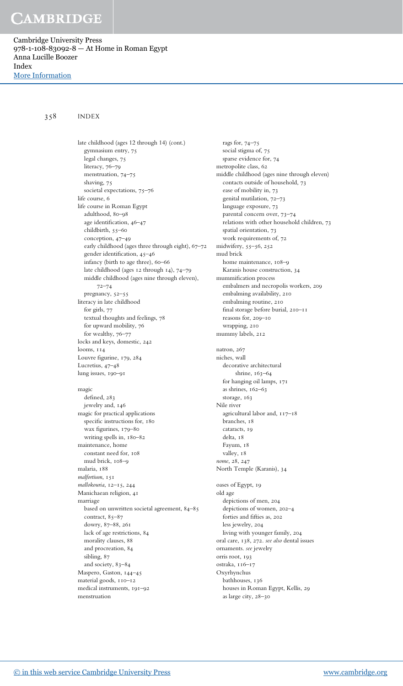Cambridge University Press 978-1-108-83092-8 — At Home in Roman Egypt Anna Lucille Boozer Index [More Information](www.cambridge.org/9781108830928)

### 358 INDEX

gymnasium entry, 75 legal changes, 75 literacy, 76–79 menstruation, 74–75 shaving, 75 societal expectations, 75–76 life course, 6 life course in Roman Egypt adulthood, 80–98 age identification, 46–47 childbirth, 55–60 conception, 47–49 early childhood (ages three through eight), 67–72 gender identification, 45–46 infancy (birth to age three), 60–66 late childhood (ages 12 through 14), 74–79 middle childhood (ages nine through eleven), 72–74 pregnancy, 52–55 literacy in late childhood for girls, 77 textual thoughts and feelings, 78 for upward mobility, 76 for wealthy, 76–77 locks and keys, domestic, 242 looms, 114 Louvre figurine, 179, 284 Lucretius, 47–48 lung issues, 190–91 magic defined, 283 jewelry and, 146 magic for practical applications specific instructions for, 180 wax figurines, 179–80 writing spells in, 180–82 maintenance, home constant need for, 108 mud brick, 108–9 malaria, 188 malfortium, 151 mallokouria, 12–15, 244 Manichaean religion, 41 marriage based on unwritten societal agreement, 84–85 contract, 85-87 dowry, 87–88, 261 lack of age restrictions, 84 morality clauses, 88 and procreation, 84 sibling, 87 and society, 83–84 Maspero, Gaston, 144–45 material goods, 110–12 medical instruments, 191–92 menstruation

late childhood (ages 12 through 14) (cont.)

rags for, 74–75 social stigma of, 75 sparse evidence for, 74 metropolite class, 62 middle childhood (ages nine through eleven) contacts outside of household, 73 ease of mobility in, 73 genital mutilation, 72–73 language exposure, 73 parental concern over, 73–74 relations with other household children, 73 spatial orientation, 73 work requirements of, 72 midwifery, 55–56, 252 mud brick home maintenance, 108–9 Karanis house construction, 34 mummification process embalmers and necropolis workers, 209 embalming availability, 210 embalming routine, 210 final storage before burial, 210–11 reasons for, 209–10 wrapping, 210 mummy labels, 212 natron, 267 niches, wall decorative architectural shrine, 163–64 for hanging oil lamps, 171 as shrines, 162–63 storage, 163 Nile river agricultural labor and, 117–18 branches, 18 cataracts, 19 delta, 18 Fayum, 18 valley, 18 nome, 28, 247 North Temple (Karanis), 34 oases of Egypt, 19 old age depictions of men, 204 depictions of women, 202–4 forties and fifties as, 202 less jewelry, 204 living with younger family, 204 oral care, 138, 272. see also dental issues ornaments. see jewelry orris root, 193 ostraka, 116–17 Oxyrhynchus bathhouses, 136 houses in Roman Egypt, Kellis, 29 as large city, 28–30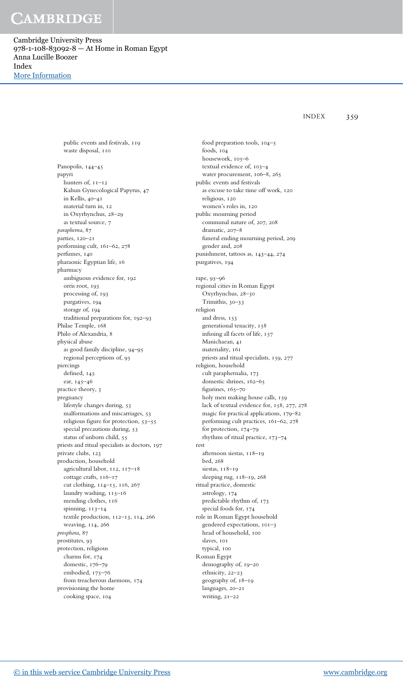Cambridge University Press 978-1-108-83092-8 — At Home in Roman Egypt Anna Lucille Boozer Index [More Information](www.cambridge.org/9781108830928)

public events and festivals, 119

INDEX 359

waste disposal, 110 Panopolis, 144–45 papyri hunters of, 11–12 Kahun Gynecological Papyrus, 47 in Kellis, 40–41 material turn in, 12 in Oxyrhynchus, 28–29 as textual source, 7 parapherna, 87 parties, 120–21 performing cult, 161–62, 278 perfumes, 140 pharaonic Egyptian life, 16 pharmacy ambiguous evidence for, 192 orris root, 193 processing of, 193 purgatives, 194 storage of, 194 traditional preparations for, 192–93 Philae Temple, 168 Philo of Alexandria, 8 physical abuse as good family discipline, 94–95 regional perceptions of, 95 piercings defined, 145 ear, 145–46 practice theory, 3 pregnancy lifestyle changes during, 53 malformations and miscarriages, 53 religious figure for protection, 53–55 special precautions during, 53 status of unborn child, 55 priests and ritual specialists as doctors, 197 private clubs, 123 production, household agricultural labor, 112, 117–18 cottage crafts, 116–17 cut clothing, 114–15, 116, 267 laundry washing, 115–16 mending clothes, 116 spinning, 113–14 textile production, 112–13, 114, 266 weaving, 114, 266 prosphora, 87 prostitutes, 93 protection, religious charms for, 174 domestic, 176–79 embodied, 175–76 from treacherous daemons, 174

food preparation tools, 104–5 foods, 104 housework, 105–6 textual evidence of, 103–4 water procurement, 106–8, 265 public events and festivals as excuse to take time off work, 120 religious, 120 women's roles in, 120 public mourning period communal nature of, 207, 208 dramatic, 207–8 funeral ending mourning period, 209 gender and, 208 punishment, tattoos as, 143–44, 274 purgatives, 194 rape, 95–96 regional cities in Roman Egypt Oxyrhynchus, 28–30 Trimithis, 30–33 religion and dress, 153 generational tenacity, 158 infusing all facets of life, 157 Manichaean, 41 materiality, 161 priests and ritual specialists, 159, 277 religion, household cult paraphernalia, 173 domestic shrines, 162–65 figurines, 165-70 holy men making house calls, 159 lack of textual evidence for, 158, 277, 278 magic for practical applications, 179–82 performing cult practices, 161–62, 278 for protection, 174–79 rhythms of ritual practice, 173–74 rest afternoon siestas, 118–19 bed, 268 siestas, 118–19 sleeping rug, 118–19, 268 ritual practice, domestic astrology, 174 predictable rhythm of, 173 special foods for, 174 role in Roman Egypt household gendered expectations, 101–3 head of household, 100 slaves, 101 typical, 100 Roman Egypt demography of, 19–20 ethnicity, 22–23 geography of, 18–19 languages, 20–21 writing, 21–22

provisioning the home cooking space, 104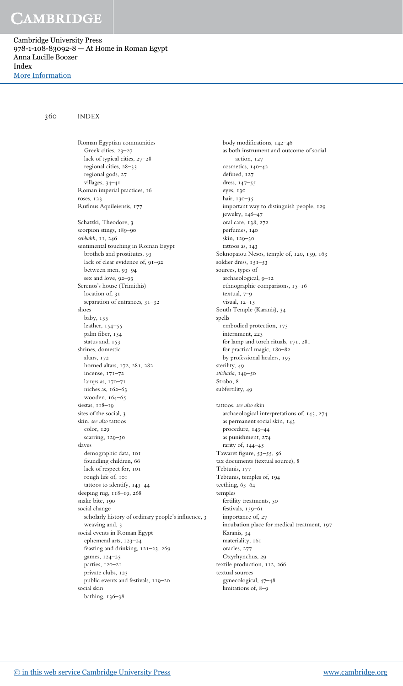Cambridge University Press 978-1-108-83092-8 — At Home in Roman Egypt Anna Lucille Boozer Index [More Information](www.cambridge.org/9781108830928)

360 INDEX

Roman Egyptian communities Greek cities, 23–27 lack of typical cities, 27–28 regional cities, 28–33 regional gods, 27 villages, 34–41 Roman imperial practices, 16 roses, 123 Rufinus Aquileiensis, 177 Schatzki, Theodore, 3 scorpion stings, 189–90 sebbakh, 11, 246 sentimental touching in Roman Egypt brothels and prostitutes, 93 lack of clear evidence of, 91–92 between men, 93–94 sex and love, 92–93 Serenos's house (Trimithis) location of, 31 separation of entrances, 31–32 shoes baby, 155 leather, 154–55 palm fiber, 154 status and, 153 shrines, domestic altars, 172 horned altars, 172, 281, 282 incense, 171–72 lamps as, 170–71 niches as, 162–63 wooden, 164–65 siestas, 118-19 sites of the social, 3 skin. see also tattoos color, 129 scarring, 129–30 slaves demographic data, 101 foundling children, 66 lack of respect for, 101 rough life of, 101 tattoos to identify, 143–44 sleeping rug, 118–19, 268 snake bite, 190 social change scholarly history of ordinary people's influence, 3 weaving and, 3 social events in Roman Egypt ephemeral arts, 123–24 feasting and drinking, 121–23, 269 games, 124–25 parties, 120–21 private clubs, 123 public events and festivals, 119–20 social skin bathing, 136–38

body modifications, 142–46 as both instrument and outcome of social action, 127 cosmetics, 140–42 defined, 127 dress, 147–55 eyes, 130 hair, 130–35 important way to distinguish people, 129 jewelry, 146–47 oral care, 138, 272 perfumes, 140 skin, 129–30 tattoos as, 143 Soknopaiou Nesos, temple of, 120, 159, 163 soldier dress, 151–53 sources, types of archaeological, 9–12 ethnographic comparisons, 15–16 textual, 7–9 visual, 12–15 South Temple (Karanis), 34 spells embodied protection, 175 internment, 223 for lamp and torch rituals, 171, 281 for practical magic, 180–82 by professional healers, 195 sterility, 49 sticharia, 149–50 Strabo, 8 subfertility, 49 tattoos. see also skin archaeological interpretations of, 143, 274 as permanent social skin, 143 procedure, 143–44 as punishment, 274 rarity of, 144–45 Tawaret figure, 53–55, 56 tax documents (textual source), 8 Tebtunis, 177 Tebtunis, temples of, 194 teething, 63–64 temples fertility treatments, 50 festivals, 159–61 importance of, 27 incubation place for medical treatment, 197 Karanis, 34 materiality, 161 oracles, 277 Oxyrhynchus, 29 textile production, 112, 266 textual sources gynecological, 47–48 limitations of, 8–9